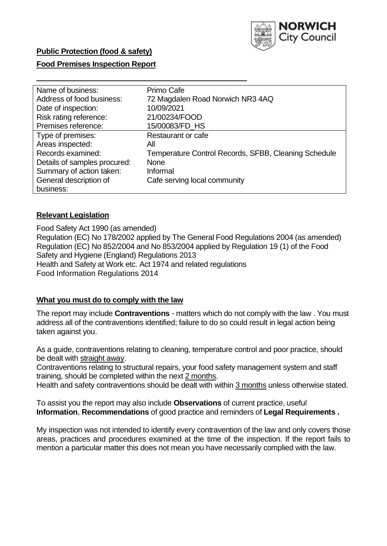

## **Public Protection (food & safety)**

### **Food Premises Inspection Report**

| Name of business:            | Primo Cafe                                           |
|------------------------------|------------------------------------------------------|
| Address of food business:    | 72 Magdalen Road Norwich NR3 4AQ                     |
| Date of inspection:          | 10/09/2021                                           |
| Risk rating reference:       | 21/00234/FOOD                                        |
| Premises reference:          | 15/00083/FD_HS                                       |
| Type of premises:            | Restaurant or cafe                                   |
| Areas inspected:             | All                                                  |
| Records examined:            | Temperature Control Records, SFBB, Cleaning Schedule |
| Details of samples procured: | <b>None</b>                                          |
| Summary of action taken:     | Informal                                             |
| General description of       | Cafe serving local community                         |
| business:                    |                                                      |

#### **Relevant Legislation**

Food Safety Act 1990 (as amended) Regulation (EC) No 178/2002 applied by The General Food Regulations 2004 (as amended) Regulation (EC) No 852/2004 and No 853/2004 applied by Regulation 19 (1) of the Food Safety and Hygiene (England) Regulations 2013 Health and Safety at Work etc. Act 1974 and related regulations Food Information Regulations 2014

#### **What you must do to comply with the law**

The report may include **Contraventions** - matters which do not comply with the law . You must address all of the contraventions identified; failure to do so could result in legal action being taken against you.

As a guide, contraventions relating to cleaning, temperature control and poor practice, should be dealt with straight away.

Contraventions relating to structural repairs, your food safety management system and staff training, should be completed within the next 2 months.

Health and safety contraventions should be dealt with within 3 months unless otherwise stated.

To assist you the report may also include **Observations** of current practice, useful **Information**, **Recommendations** of good practice and reminders of **Legal Requirements .**

My inspection was not intended to identify every contravention of the law and only covers those areas, practices and procedures examined at the time of the inspection. If the report fails to mention a particular matter this does not mean you have necessarily complied with the law.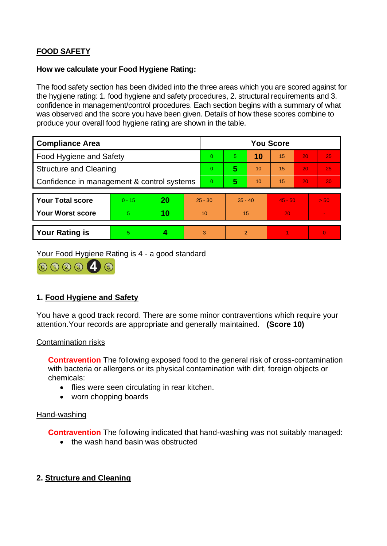# **FOOD SAFETY**

## **How we calculate your Food Hygiene Rating:**

The food safety section has been divided into the three areas which you are scored against for the hygiene rating: 1. food hygiene and safety procedures, 2. structural requirements and 3. confidence in management/control procedures. Each section begins with a summary of what was observed and the score you have been given. Details of how these scores combine to produce your overall food hygiene rating are shown in the table.

| <b>Compliance Area</b>                     |          |    |           | <b>You Score</b> |                |    |           |    |                |  |  |
|--------------------------------------------|----------|----|-----------|------------------|----------------|----|-----------|----|----------------|--|--|
| <b>Food Hygiene and Safety</b>             |          |    |           | $\Omega$         | 5.             | 10 | 15        | 20 | 25             |  |  |
| <b>Structure and Cleaning</b>              |          |    |           | $\Omega$         | 5              | 10 | 15        | 20 | 25             |  |  |
| Confidence in management & control systems |          |    |           | $\Omega$         | 5              | 10 | 15        | 20 | 30             |  |  |
|                                            |          |    |           |                  |                |    |           |    |                |  |  |
| <b>Your Total score</b>                    | $0 - 15$ | 20 | $25 - 30$ |                  | $35 - 40$      |    | $45 - 50$ |    | > 50           |  |  |
| Your Worst score                           | 5.       | 10 | 10        |                  | 15             |    | 20        |    | $\blacksquare$ |  |  |
|                                            |          |    |           |                  |                |    |           |    |                |  |  |
| <b>Your Rating is</b>                      | 5        |    |           | 3                | $\overline{2}$ |    |           |    | $\overline{0}$ |  |  |

Your Food Hygiene Rating is 4 - a good standard



## **1. Food Hygiene and Safety**

You have a good track record. There are some minor contraventions which require your attention.Your records are appropriate and generally maintained. **(Score 10)**

#### Contamination risks

**Contravention** The following exposed food to the general risk of cross-contamination with bacteria or allergens or its physical contamination with dirt, foreign objects or chemicals:

- flies were seen circulating in rear kitchen.
- worn chopping boards

#### Hand-washing

**Contravention** The following indicated that hand-washing was not suitably managed:

• the wash hand basin was obstructed

## **2. Structure and Cleaning**